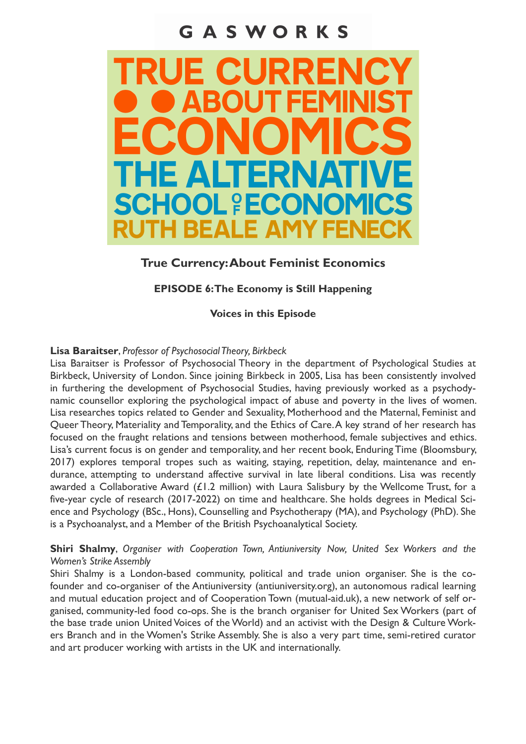# GASWORKS



## **True Currency: About Feminist Economics**

## **EPISODE 6: The Economy is Still Happening**

**Voices in this Episode**

#### **Lisa Baraitser**, *Professor of Psychosocial Theory, Birkbeck*

Lisa Baraitser is Professor of Psychosocial Theory in the department of Psychological Studies at Birkbeck, University of London. Since joining Birkbeck in 2005, Lisa has been consistently involved in furthering the development of Psychosocial Studies, having previously worked as a psychodynamic counsellor exploring the psychological impact of abuse and poverty in the lives of women. Lisa researches topics related to Gender and Sexuality, Motherhood and the Maternal, Feminist and Queer Theory, Materiality and Temporality, and the Ethics of Care. A key strand of her research has focused on the fraught relations and tensions between motherhood, female subjectives and ethics. Lisa's current focus is on gender and temporality, and her recent book, Enduring Time (Bloomsbury, 2017) explores temporal tropes such as waiting, staying, repetition, delay, maintenance and endurance, attempting to understand affective survival in late liberal conditions. Lisa was recently awarded a Collaborative Award ( $£1.2$  million) with Laura Salisbury by the Wellcome Trust, for a five-year cycle of research (2017-2022) on time and healthcare. She holds degrees in Medical Science and Psychology (BSc., Hons), Counselling and Psychotherapy (MA), and Psychology (PhD). She is a Psychoanalyst, and a Member of the British Psychoanalytical Society.

### **Shiri Shalmy**, *Organiser with Cooperation Town, Antiuniversity Now, United Sex Workers and the Women's Strike Assembly*

Shiri Shalmy is a London-based community, political and trade union organiser. She is the cofounder and co-organiser of the Antiuniversity (antiuniversity.org), an autonomous radical learning and mutual education project and of Cooperation Town (mutual-aid.uk), a new network of self organised, community-led food co-ops. She is the branch organiser for United Sex Workers (part of the base trade union United Voices of the World) and an activist with the Design & Culture Workers Branch and in the Women's Strike Assembly. She is also a very part time, semi-retired curator and art producer working with artists in the UK and internationally.